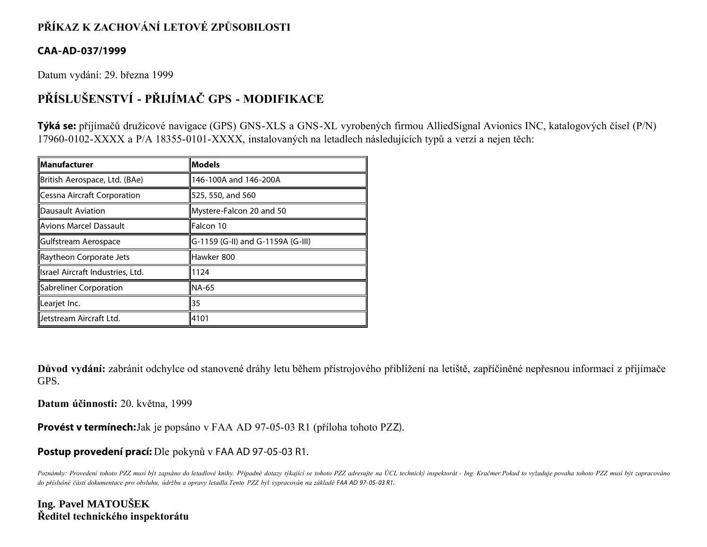# **PŘÍKAZ K ZACHOVÁNÍ LETOVÉ ZPŮSOBILOSTI**

### **CAA-AD-037/1999**

Datum vydání: 29. března 1999

# **PŘÍSLUŠENSTVÍ - PŘIJÍMAČ GPS - MODIFIKACE**

**Týká se:** přijímačů družicové navigace (GPS) GNS-XLS a GNS-XL vyrobených firmou AlliedSignal Avionics INC, katalogových čísel (P/N) 17960-0102-XXXX a P/A 18355-0101-XXXX, instalovaných na letadlech následujících typů a verzí a nejen těch:

| <b>Manufacturer</b>              | <b>Models</b>                     |
|----------------------------------|-----------------------------------|
| British Aerospace, Ltd. (BAe)    | 146-100A and 146-200A             |
| Cessna Aircraft Corporation      | 525, 550, and 560                 |
| Dausault Aviation                | Mystere-Falcon 20 and 50          |
| Avions Marcel Dassault           | Falcon 10                         |
| <b>IGulfstream Aerospace</b>     | G-1159 (G-II) and G-1159A (G-III) |
| Raytheon Corporate Jets          | Hawker 800                        |
| Israel Aircraft Industries, Ltd. | 1124                              |
| Sabreliner Corporation           | NA-65                             |
| llLearjet Inc.                   | 35                                |
| Jetstream Aircraft Ltd.          | 4101                              |

**Důvod vydání:** zabránit odchylce od stanovené dráhy letu během přístrojového přiblížení na letiště, zapříčiněné nepřesnou informací z přijímače GPS.

**Datum účinnosti:** 20. května, 1999

**Provést v termínech:**Jak je popsáno v FAA AD 97-05-03 R1 (příloha tohoto PZZ).

### **Postup provedení prací:** Dle pokynů v FAA AD 97-05-03 R1.

*Poznámky: Provedení tohoto PZZ musí být zapsáno do letadlové knihy. Případné dotazy týkající se tohoto PZZ adresujte na ÚCL technický inspektorát - Ing. Kračmer.Pokud to vyžaduje povaha tohoto PZZ musí být zapracováno do příslušné části dokumentace pro obsluhu, údržbu a opravy letadla.Tento PZZ byl vypracován na základě FAA AD 97- 05- 03 R1.*

### **Ing. Pavel MATOUŠEK Ředitel technického inspektorátu**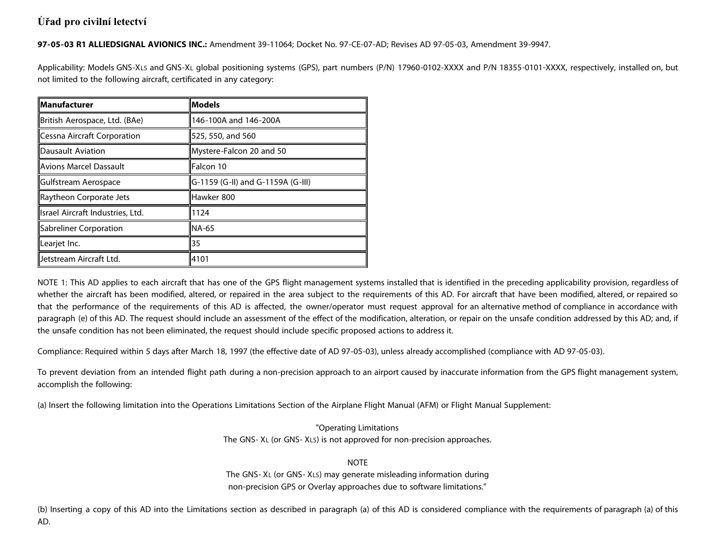## Úřad pro civilní letectví

97-05-03 R1 ALLIEDSIGNAL AVIONICS INC.: Amendment 39-11064; Docket No. 97-CE-07-AD; Revises AD 97-05-03, Amendment 39-9947.

Applicability: Models GNS-XLs and GNS-XL global positioning systems (GPS), part numbers (P/N) 17960-0102-XXXX and P/N 18355-0101-XXXX, respectively, installed on, but not limited to the following aircraft, certificated in any category:

| <b>Manufacturer</b>              | <b>Models</b>                     |
|----------------------------------|-----------------------------------|
| British Aerospace, Ltd. (BAe)    | 146-100A and 146-200A             |
| Cessna Aircraft Corporation      | 525, 550, and 560                 |
| <b>IDausault Aviation</b>        | Mystere-Falcon 20 and 50          |
| Avions Marcel Dassault           | Falcon 10                         |
| Gulfstream Aerospace             | G-1159 (G-II) and G-1159A (G-III) |
| Raytheon Corporate Jets          | Hawker 800                        |
| Israel Aircraft Industries, Ltd. | 1124                              |
| Sabreliner Corporation           | INA-65                            |
| Learjet Inc.                     | 35                                |
| Jetstream Aircraft Ltd.          | 4101                              |

NOTE 1: This AD applies to each aircraft that has one of the GPS flight management systems installed that is identified in the preceding applicability provision, regardless of whether the aircraft has been modified, altered, or repaired in the area subject to the requirements of this AD. For aircraft that have been modified, altered, or repaired so that the performance of the requirements of this AD is affected, the owner/operator must request approval for an alternative method of compliance in accordance with paragraph (e) of this AD. The request should include an assessment of the effect of the modification, alteration, or repair on the unsafe condition addressed by this AD; and, if the unsafe condition has not been eliminated, the request should include specific proposed actions to address it.

Compliance: Required within 5 days after March 18, 1997 (the effective date of AD 97-05-03), unless already accomplished (compliance with AD 97-05-03).

To prevent deviation from an intended flight path during a non-precision approach to an airport caused by inaccurate information from the GPS flight management system, accomplish the following:

(a) Insert the following limitation into the Operations Limitations Section of the Airplane Flight Manual (AFM) or Flight Manual Supplement:

"Operating Limitations The GNS-XL (or GNS-XLS) is not approved for non-precision approaches.

**NOTF** 

The GNS-XL (or GNS-XLS) may generate misleading information during non-precision GPS or Overlay approaches due to software limitations."

(b) Inserting a copy of this AD into the Limitations section as described in paragraph (a) of this AD is considered compliance with the requirements of paragraph (a) of this AD.